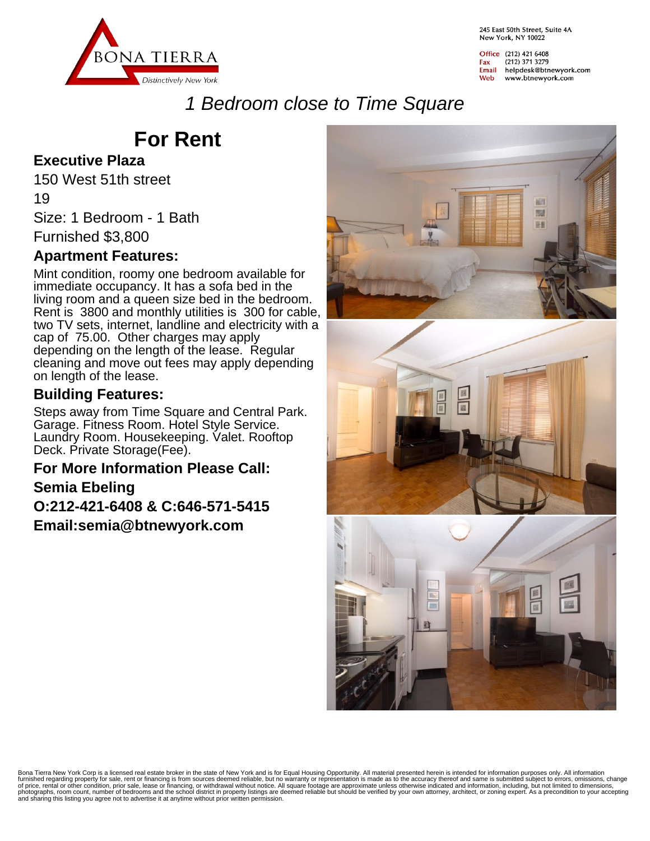

245 Fast 50th Street, Suite 4A New York, NY 10022

Office (212) 421 6408 (212) 371 3279 Fax Email helpdesk@btnewyork.com Web www.btnewyork.com

## 1 Bedroom close to Time Square

# **For Rent**

#### **Executive Plaza**

150 West 51th street

19

Size: 1 Bedroom - 1 Bath

Furnished \$3,800

#### **Apartment Features:**

Mint condition, roomy one bedroom available for immediate occupancy. It has a sofa bed in the living room and a queen size bed in the bedroom. Rent is 3800 and monthly utilities is 300 for cable, two TV sets, internet, landline and electricity with a cap of 75.00. Other charges may apply depending on the length of the lease. Regular cleaning and move out fees may apply depending on length of the lease.

#### **Building Features:**

Steps away from Time Square and Central Park. Garage. Fitness Room. Hotel Style Service. Laundry Room. Housekeeping. Valet. Rooftop Deck. Private Storage(Fee).

### **For More Information Please Call: Semia Ebeling O:212-421-6408 & C:646-571-5415 Email:semia@btnewyork.com**



Bona Tierra New York Corp is a licensed real estate broker in the state of New York and is for Equal Housing Opportunity. All material presented herein is intended for information purposes only. All information<br>furnished r